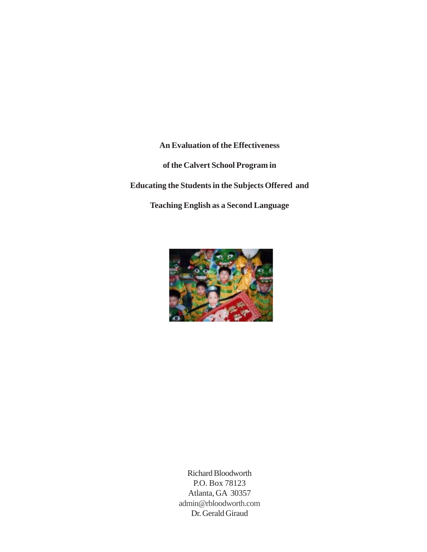**An Evaluation of the Effectiveness of the Calvert School Program in Educating the Students in the Subjects Offered and Teaching English as a Second Language**



Richard Bloodworth P.O. Box 78123 Atlanta, GA 30357 admin@rbloodworth.com Dr. Gerald Giraud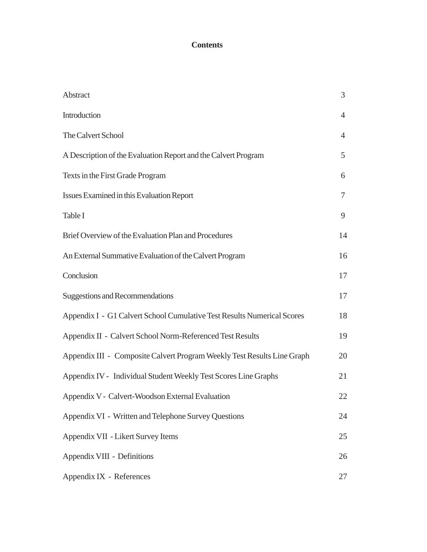# **Contents**

| Abstract                                                                | $\mathfrak{Z}$ |
|-------------------------------------------------------------------------|----------------|
| Introduction                                                            | $\overline{4}$ |
| The Calvert School                                                      | $\overline{4}$ |
| A Description of the Evaluation Report and the Calvert Program          | 5              |
| Texts in the First Grade Program                                        | 6              |
| Issues Examined in this Evaluation Report                               | $\tau$         |
| Table I                                                                 | 9              |
| Brief Overview of the Evaluation Plan and Procedures                    | 14             |
| An External Summative Evaluation of the Calvert Program                 | 16             |
| Conclusion                                                              | 17             |
| <b>Suggestions and Recommendations</b>                                  | 17             |
| Appendix I - G1 Calvert School Cumulative Test Results Numerical Scores | 18             |
| Appendix II - Calvert School Norm-Referenced Test Results               | 19             |
| Appendix III - Composite Calvert Program Weekly Test Results Line Graph | 20             |
| Appendix IV - Individual Student Weekly Test Scores Line Graphs         | 21             |
| Appendix V - Calvert-Woodson External Evaluation                        | 22             |
| Appendix VI - Written and Telephone Survey Questions                    | 24             |
| Appendix VII - Likert Survey Items                                      | 25             |
| Appendix VIII - Definitions                                             | 26             |
| Appendix IX - References                                                | 27             |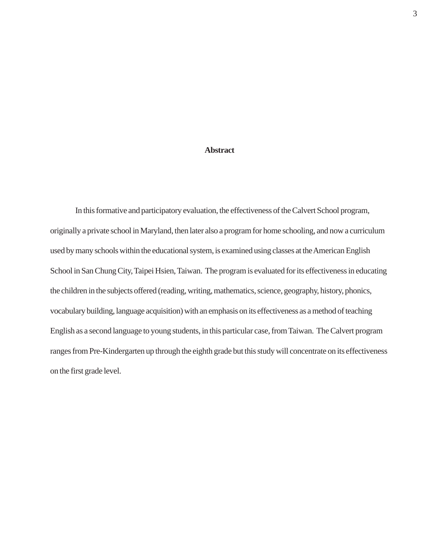# **Abstract**

In this formative and participatory evaluation, the effectiveness of the Calvert School program, originally a private school in Maryland, then later also a program for home schooling, and now a curriculum used by many schools within the educational system, is examined using classes at the American English School in San Chung City, Taipei Hsien, Taiwan. The program is evaluated for its effectiveness in educating the children in the subjects offered (reading, writing, mathematics, science, geography, history, phonics, vocabulary building, language acquisition) with an emphasis on its effectiveness as a method of teaching English as a second language to young students, in this particular case, from Taiwan. The Calvert program ranges from Pre-Kindergarten up through the eighth grade but this study will concentrate on its effectiveness on the first grade level.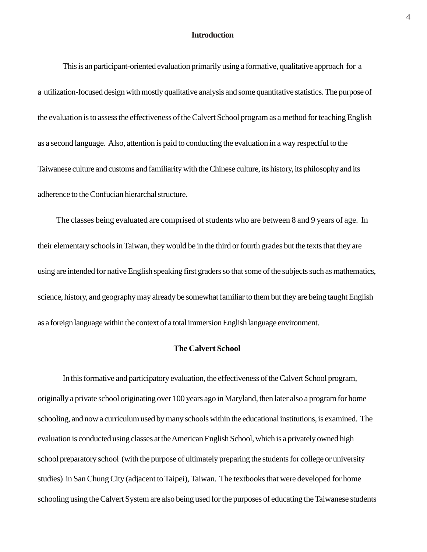# **Introduction**

This is an participant-oriented evaluation primarily using a formative, qualitative approach for a a utilization-focused design with mostly qualitative analysis and some quantitative statistics. The purpose of the evaluation is to assess the effectiveness of the Calvert School program as a method for teaching English as a second language. Also, attention is paid to conducting the evaluation in a way respectful to the Taiwanese culture and customs and familiarity with the Chinese culture, its history, its philosophy and its adherence to the Confucian hierarchal structure.

 The classes being evaluated are comprised of students who are between 8 and 9 years of age. In their elementary schools in Taiwan, they would be in the third or fourth grades but the texts that they are using are intended for native English speaking first graders so that some of the subjects such as mathematics, science, history, and geography may already be somewhat familiar to them but they are being taught English as a foreign language within the context of a total immersion English language environment.

#### **The Calvert School**

In this formative and participatory evaluation, the effectiveness of the Calvert School program, originally a private school originating over 100 years ago in Maryland, then later also a program for home schooling, and now a curriculum used by many schools within the educational institutions, is examined. The evaluation is conducted using classes at the American English School, which is a privately owned high school preparatory school (with the purpose of ultimately preparing the students for college or university studies) in San Chung City (adjacent to Taipei), Taiwan. The textbooks that were developed for home schooling using the Calvert System are also being used for the purposes of educating the Taiwanese students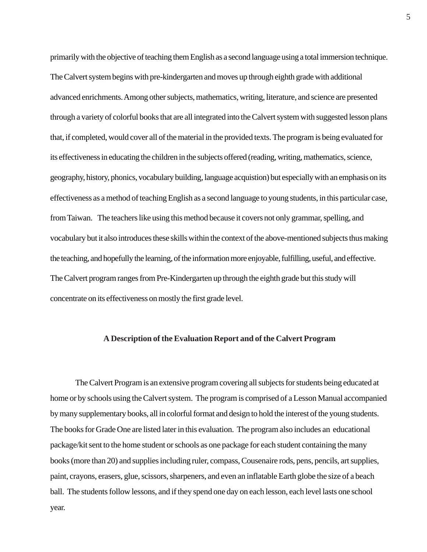primarily with the objective of teaching them English as a second language using a total immersion technique. The Calvert system begins with pre-kindergarten and moves up through eighth grade with additional advanced enrichments. Among other subjects, mathematics, writing, literature, and science are presented through a variety of colorful books that are all integrated into the Calvert system with suggested lesson plans that, if completed, would cover all of the material in the provided texts. The program is being evaluated for its effectiveness in educating the children in the subjects offered (reading, writing, mathematics, science, geography, history, phonics, vocabulary building, language acquistion) but especially with an emphasis on its effectiveness as a method of teaching English as a second language to young students, in this particular case, from Taiwan. The teachers like using this method because it covers not only grammar, spelling, and vocabulary but it also introduces these skills within the context of the above-mentioned subjects thus making the teaching, and hopefully the learning, of the information more enjoyable, fulfilling, useful, and effective. The Calvert program ranges from Pre-Kindergarten up through the eighth grade but this study will concentrate on its effectiveness on mostly the first grade level.

#### **A Description of the Evaluation Report and of the Calvert Program**

The Calvert Program is an extensive program covering all subjects for students being educated at home or by schools using the Calvert system. The program is comprised of a Lesson Manual accompanied by many supplementary books, all in colorful format and design to hold the interest of the young students. The books for Grade One are listed later in this evaluation. The program also includes an educational package/kit sent to the home student or schools as one package for each student containing the many books (more than 20) and supplies including ruler, compass, Cousenaire rods, pens, pencils, art supplies, paint, crayons, erasers, glue, scissors, sharpeners, and even an inflatable Earth globe the size of a beach ball. The students follow lessons, and if they spend one day on each lesson, each level lasts one school year.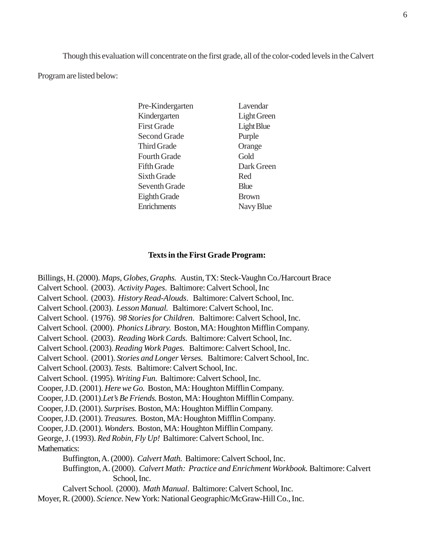Though this evaluation will concentrate on the first grade, all of the color-coded levels in the Calvert

Program are listed below:

| Pre-Kindergarten    | Lavendar          |
|---------------------|-------------------|
| Kindergarten        | Light Green       |
| <b>First Grade</b>  | <b>Light Blue</b> |
| Second Grade        | Purple            |
| <b>Third Grade</b>  | Orange            |
| Fourth Grade        | Gold              |
| <b>Fifth Grade</b>  | Dark Green        |
| <b>Sixth Grade</b>  | Red               |
| Seventh Grade       | <b>Blue</b>       |
| <b>Eighth Grade</b> | <b>Brown</b>      |
| Enrichments         | Navy Blue         |

#### **Texts in the First Grade Program:**

Billings, H. (2000). *Maps, Globes, Graphs.* Austin, TX: Steck-Vaughn Co./Harcourt Brace Calvert School. (2003). *Activity Pages*. Baltimore: Calvert School, Inc Calvert School. (2003). *History Read-Alouds*. Baltimore: Calvert School, Inc. Calvert School. (2003). *Lesson Manual.* Baltimore: Calvert School, Inc. Calvert School. (1976). *98 Stories for Children*. Baltimore: Calvert School, Inc. Calvert School. (2000). *Phonics Library.* Boston, MA: Houghton Mifflin Company. Calvert School. (2003). *Reading Work Cards.* Baltimore: Calvert School, Inc. Calvert School. (2003). *Reading Work Pages.* Baltimore: Calvert School, Inc. Calvert School. (2001). *Stories and Longer Verses.* Baltimore: Calvert School, Inc. Calvert School. (2003). *Tests.* Baltimore: Calvert School, Inc. Calvert School. (1995). *Writing Fun.* Baltimore: Calvert School, Inc. Cooper, J.D. (2001). *Here we Go.* Boston, MA: Houghton Mifflin Company. Cooper, J.D. (2001).*Let's Be Friends.* Boston, MA: Houghton Mifflin Company. Cooper, J.D. (2001). *Surprises.* Boston, MA: Houghton Mifflin Company. Cooper, J.D. (2001). *Treasures.* Boston, MA: Houghton Mifflin Company. Cooper, J.D. (2001). *Wonders.* Boston, MA: Houghton Mifflin Company. George, J. (1993). *Red Robin, Fly Up!* Baltimore: Calvert School, Inc. Mathematics: Buffington, A. (2000). *Calvert Math.* Baltimore: Calvert School, Inc. Buffington, A. (2000). *Calvert Math: Practice and Enrichment Workbook.* Baltimore: Calvert School, Inc.

Calvert School. (2000). *Math Manual*. Baltimore: Calvert School, Inc. Moyer, R. (2000). *Science.* New York: National Geographic/McGraw-Hill Co., Inc.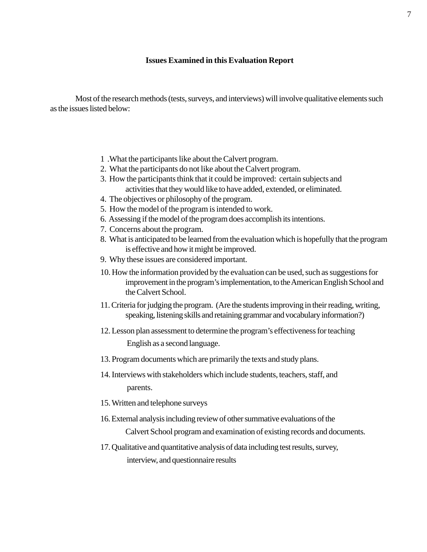#### **Issues Examined in this Evaluation Report**

Most of the research methods (tests, surveys, and interviews) will involve qualitative elements such as the issues listed below:

- 1 .What the participants like about the Calvert program.
- 2. What the participants do not like about the Calvert program.
- 3. How the participants think that it could be improved: certain subjects and activities that they would like to have added, extended, or eliminated.
- 4. The objectives or philosophy of the program.
- 5. How the model of the program is intended to work.
- 6. Assessing if the model of the program does accomplish its intentions.
- 7. Concerns about the program.
- 8. What is anticipated to be learned from the evaluation which is hopefully that the program is effective and how it might be improved.
- 9. Why these issues are considered important.
- 10. How the information provided by the evaluation can be used, such as suggestions for improvement in the program's implementation, to the American English School and the Calvert School.
- 11. Criteria for judging the program. (Are the students improving in their reading, writing, speaking, listening skills and retaining grammar and vocabulary information?)
- 12. Lesson plan assessment to determine the program's effectiveness for teaching English as a second language.
- 13. Program documents which are primarily the texts and study plans.
- 14. Interviews with stakeholders which include students, teachers, staff, and parents.
- 15. Written and telephone surveys
- 16. External analysis including review of other summative evaluations of the Calvert School program and examination of existing records and documents.
- 17. Qualitative and quantitative analysis of data including test results, survey, interview, and questionnaire results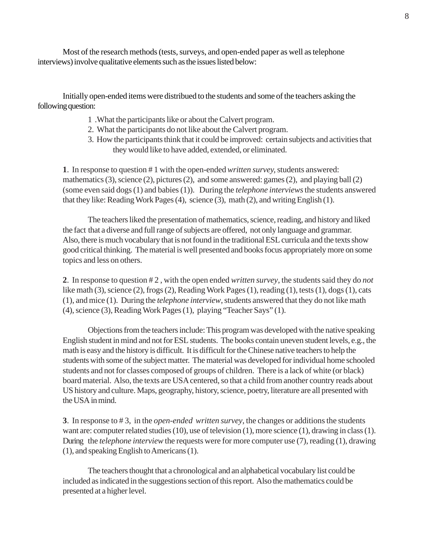Most of the research methods (tests, surveys, and open-ended paper as well as telephone interviews) involve qualitative elements such as the issues listed below:

Initially open-ended items were distribued to the students and some of the teachers asking the following question:

- 1 .What the participants like or about the Calvert program.
- 2. What the participants do not like about the Calvert program.
- 3. How the participants think that it could be improved: certain subjects and activities that they would like to have added, extended, or eliminated.

**1**. In response to question # 1 with the open-ended *written survey,* students answered: mathematics (3), science (2), pictures (2), and some answered: games (2), and playing ball (2) (some even said dogs (1) and babies (1)). During the *telephone interviews* the students answered that they like: Reading Work Pages (4), science (3), math (2), and writing English (1).

The teachers liked the presentation of mathematics, science, reading, and history and liked the fact that a diverse and full range of subjects are offered, not only language and grammar. Also, there is much vocabulary that is not found in the traditional ESL curricula and the texts show good critical thinking. The material is well presented and books focus appropriately more on some topics and less on others.

**2**. In response to question # 2 , with the open ended *written survey*, the students said they do *not* like math (3), science (2), frogs (2), Reading Work Pages (1), reading (1), tests (1), dogs (1), cats (1), and mice (1). During the *telephone interview*, students answered that they do not like math (4), science (3), Reading Work Pages (1), playing "Teacher Says" (1).

Objections from the teachers include: This program was developed with the native speaking English student in mind and not for ESL students. The books contain uneven student levels, e.g., the math is easy and the history is difficult. It is difficult for the Chinese native teachers to help the students with some of the subject matter. The material was developed for individual home schooled students and not for classes composed of groups of children. There is a lack of white (or black) board material. Also, the texts are USA centered, so that a child from another country reads about US history and culture. Maps, geography, history, science, poetry, literature are all presented with the USA in mind.

**3**. In response to # 3, in the *open-ended written survey*, the changes or additions the students want are: computer related studies (10), use of television (1), more science (1), drawing in class (1). During the *telephone interview* the requests were for more computer use (7), reading (1), drawing (1), and speaking English to Americans (1).

The teachers thought that a chronological and an alphabetical vocabulary list could be included as indicated in the suggestions section of this report. Also the mathematics could be presented at a higher level.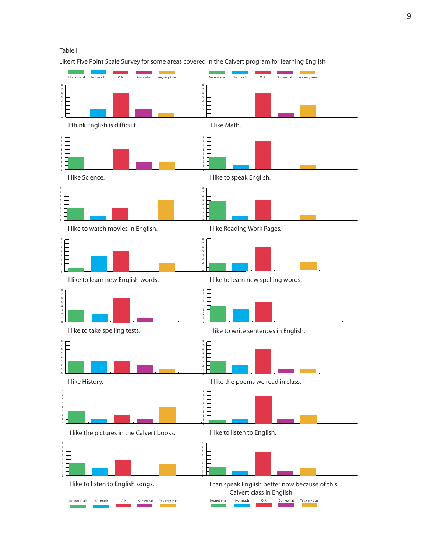

Likert Five Point Scale Survey for some areas covered in the Calvert program for learning English

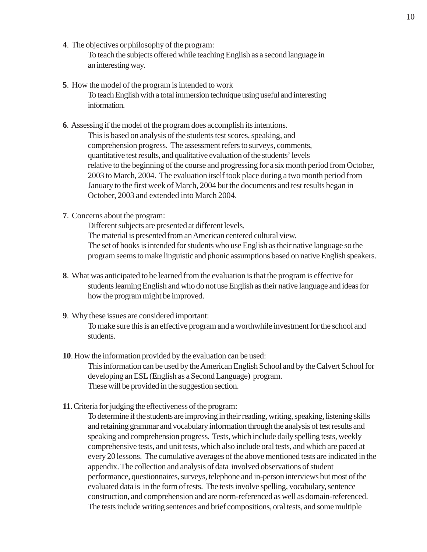**4**. The objectives or philosophy of the program:

To teach the subjects offered while teaching English as a second language in an interesting way.

- **5**. How the model of the program is intended to work To teach English with a total immersion technique using useful and interesting information.
- **6**. Assessing if the model of the program does accomplish its intentions. This is based on analysis of the students test scores, speaking, and comprehension progress. The assessment refers to surveys, comments, quantitative test results, and qualitative evaluation of the students' levels relative to the beginning of the course and progressing for a six month period from October, 2003 to March, 2004. The evaluation itself took place during a two month period from January to the first week of March, 2004 but the documents and test results began in October, 2003 and extended into March 2004.
- **7**. Concerns about the program:

Different subjects are presented at different levels. The material is presented from an American centered cultural view. The set of books is intended for students who use English as their native language so the program seems to make linguistic and phonic assumptions based on native English speakers.

- **8**. What was anticipated to be learned from the evaluation is that the program is effective for students learning English and who do not use English as their native language and ideas for how the program might be improved.
- **9**. Why these issues are considered important:

To make sure this is an effective program and a worthwhile investment for the school and students.

- **10**. How the information provided by the evaluation can be used: This information can be used by the American English School and by the Calvert School for developing an ESL (English as a Second Language) program. These will be provided in the suggestion section.
- **11**. Criteria for judging the effectiveness of the program:

To determine if the students are improving in their reading, writing, speaking, listening skills and retaining grammar and vocabulary information through the analysis of test results and speaking and comprehension progress. Tests, which include daily spelling tests, weekly comprehensive tests, and unit tests, which also include oral tests, and which are paced at every 20 lessons. The cumulative averages of the above mentioned tests are indicated in the appendix. The collection and analysis of data involved observations of student performance, questionnaires, surveys, telephone and in-person interviews but most of the evaluated data is in the form of tests. The tests involve spelling, vocabulary, sentence construction, and comprehension and are norm-referenced as well as domain-referenced. The tests include writing sentences and brief compositions, oral tests, and some multiple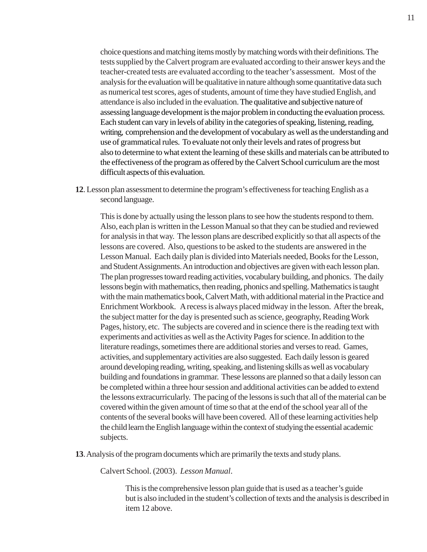choice questions and matching items mostly by matching words with their definitions. The tests supplied by the Calvert program are evaluated according to their answer keys and the teacher-created tests are evaluated according to the teacher's assessment. Most of the analysis for the evaluation will be qualitative in nature although some quantitative data such as numerical test scores, ages of students, amount of time they have studied English, and attendance is also included in the evaluation. The qualitative and subjective nature of assessing language development is the major problem in conducting the evaluation process. Each student can vary in levels of ability in the categories of speaking, listening, reading, writing, comprehension and the development of vocabulary as well as the understanding and use of grammatical rules. To evaluate not only their levels and rates of progress but also to determine to what extent the learning of these skills and materials can be attributed to the effectiveness of the program as offered by the Calvert School curriculum are the most difficult aspects of this evaluation.

**12**. Lesson plan assessment to determine the program's effectiveness for teaching English as a second language.

This is done by actually using the lesson plans to see how the students respond to them. Also, each plan is written in the Lesson Manual so that they can be studied and reviewed for analysis in that way. The lesson plans are described explicitly so that all aspects of the lessons are covered. Also, questions to be asked to the students are answered in the Lesson Manual. Each daily plan is divided into Materials needed, Books for the Lesson, and Student Assignments. An introduction and objectives are given with each lesson plan. The plan progresses toward reading activities, vocabulary building, and phonics. The daily lessons begin with mathematics, then reading, phonics and spelling. Mathematics is taught with the main mathematics book, Calvert Math, with additional material in the Practice and Enrichment Workbook. A recess is always placed midway in the lesson. After the break, the subject matter for the day is presented such as science, geography, Reading Work Pages, history, etc. The subjects are covered and in science there is the reading text with experiments and activities as well as the Activity Pages for science. In addition to the literature readings, sometimes there are additional stories and verses to read. Games, activities, and supplementary activities are also suggested. Each daily lesson is geared around developing reading, writing, speaking, and listening skills as well as vocabulary building and foundations in grammar. These lessons are planned so that a daily lesson can be completed within a three hour session and additional activities can be added to extend the lessons extracurricularly. The pacing of the lessons is such that all of the material can be covered within the given amount of time so that at the end of the school year all of the contents of the several books will have been covered. All of these learning activities help the child learn the English language within the context of studying the essential academic subjects.

**13**. Analysis of the program documents which are primarily the texts and study plans.

Calvert School. (2003). *Lesson Manual*.

This is the comprehensive lesson plan guide that is used as a teacher's guide but is also included in the student's collection of texts and the analysis is described in item 12 above.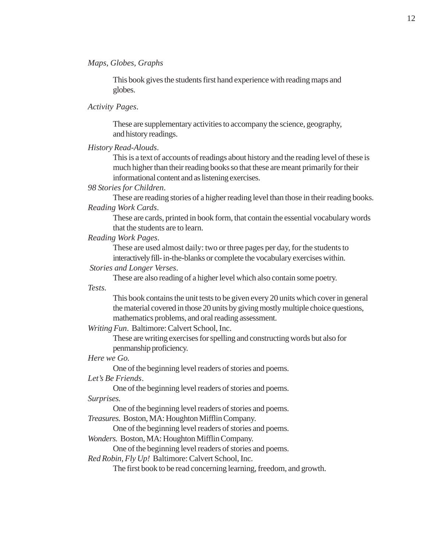#### *Maps, Globes, Graphs*

This book gives the students first hand experience with reading maps and globes.

# *Activity Pages*.

These are supplementary activities to accompany the science, geography, and history readings.

*History Read-Alouds*.

This is a text of accounts of readings about history and the reading level of these is much higher than their reading books so that these are meant primarily for their informational content and as listening exercises.

### *98 Stories for Children*.

These are reading stories of a higher reading level than those in their reading books. *Reading Work Cards*.

These are cards, printed in book form, that contain the essential vocabulary words that the students are to learn.

*Reading Work Pages*.

These are used almost daily: two or three pages per day, for the students to interactively fill-in-the-blanks or complete the vocabulary exercises within.

### *Stories and Longer Verses*.

These are also reading of a higher level which also contain some poetry.

*Tests.*

This book contains the unit tests to be given every 20 units which cover in general the material covered in those 20 units by giving mostly multiple choice questions, mathematics problems, and oral reading assessment.

*Writing Fun*. Baltimore: Calvert School, Inc.

These are writing exercises for spelling and constructing words but also for penmanship proficiency.

*Here we Go.*

One of the beginning level readers of stories and poems.

#### *Let's Be Friends*.

One of the beginning level readers of stories and poems. *Surprises.*

One of the beginning level readers of stories and poems.

*Treasures.* Boston, MA: Houghton Mifflin Company.

One of the beginning level readers of stories and poems.

*Wonders.* Boston, MA: Houghton Mifflin Company.

One of the beginning level readers of stories and poems.

*Red Robin, Fly Up!* Baltimore: Calvert School, Inc.

The first book to be read concerning learning, freedom, and growth.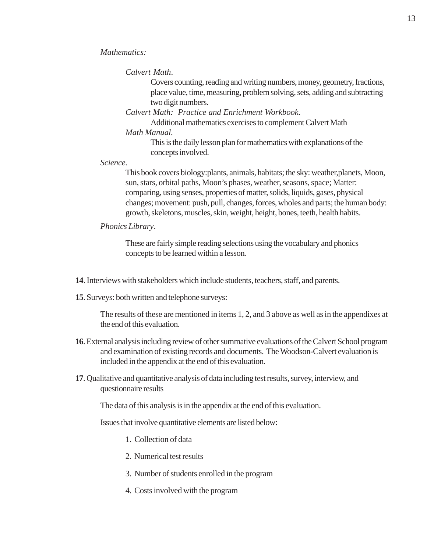# *Calvert Math*.

Covers counting, reading and writing numbers, money, geometry, fractions, place value, time, measuring, problem solving, sets, adding and subtracting two digit numbers.

*Calvert Math: Practice and Enrichment Workbook*.

Additional mathematics exercises to complement Calvert Math *Math Manual.*

> This is the daily lesson plan for mathematics with explanations of the concepts involved.

#### *Science.*

This book covers biology:plants, animals, habitats; the sky: weather,planets, Moon, sun, stars, orbital paths, Moon's phases, weather, seasons, space; Matter: comparing, using senses, properties of matter, solids, liquids, gases, physical changes; movement: push, pull, changes, forces, wholes and parts; the human body: growth, skeletons, muscles, skin, weight, height, bones, teeth, health habits.

# *Phonics Library*.

These are fairly simple reading selections using the vocabulary and phonics concepts to be learned within a lesson.

- **14**. Interviews with stakeholders which include students, teachers, staff, and parents.
- **15**. Surveys: both written and telephone surveys:

The results of these are mentioned in items 1, 2, and 3 above as well as in the appendixes at the end of this evaluation.

- **16**. External analysis including review of other summative evaluations of the Calvert School program and examination of existing records and documents. The Woodson-Calvert evaluation is included in the appendix at the end of this evaluation.
- **17**. Qualitative and quantitative analysis of data including test results, survey, interview, and questionnaire results

The data of this analysis is in the appendix at the end of this evaluation.

Issues that involve quantitative elements are listed below:

- 1. Collection of data
- 2. Numerical test results
- 3. Number of students enrolled in the program
- 4. Costs involved with the program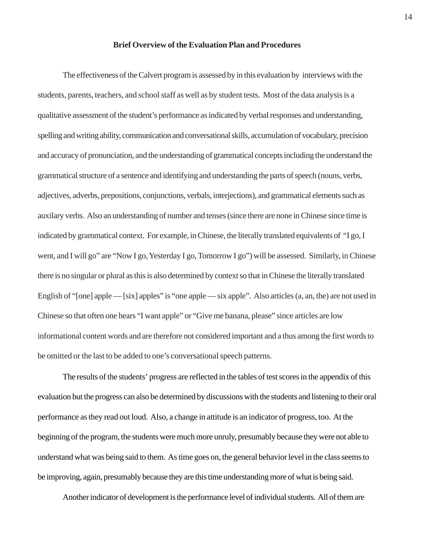#### **Brief Overview of the Evaluation Plan and Procedures**

The effectiveness of the Calvert program is assessed by in this evaluation by interviews with the students, parents, teachers, and school staff as well as by student tests. Most of the data analysis is a qualitative assessment of the student's performance as indicated by verbal responses and understanding, spelling and writing ability, communication and conversational skills, accumulation of vocabulary, precision and accuracy of pronunciation, and the understanding of grammatical concepts including the understand the grammatical structure of a sentence and identifying and understanding the parts of speech (nouns, verbs, adjectives, adverbs, prepositions, conjunctions, verbals, interjections), and grammatical elements such as auxilary verbs. Also an understanding of number and tenses (since there are none in Chinese since time is indicated by grammatical context. For example, in Chinese, the literally translated equivalents of "I go, I went, and I will go" are "Now I go, Yesterday I go, Tomorrow I go") will be assessed. Similarly, in Chinese there is no singular or plural as this is also determined by context so that in Chinese the literally translated English of "[one] apple — [six] apples" is "one apple — six apple". Also articles (a, an, the) are not used in Chinese so that often one hears "I want apple" or "Give me banana, please" since articles are low informational content words and are therefore not considered important and a thus among the first words to be omitted or the last to be added to one's conversational speech patterns.

The results of the students' progress are reflected in the tables of test scores in the appendix of this evaluation but the progress can also be determined by discussions with the students and listening to their oral performance as they read out loud. Also, a change in attitude is an indicator of progress, too. At the beginning of the program, the students were much more unruly, presumably because they were not able to understand what was being said to them. As time goes on, the general behavior level in the class seems to be improving, again, presumably because they are this time understanding more of what is being said.

Another indicator of development is the performance level of individual students. All of them are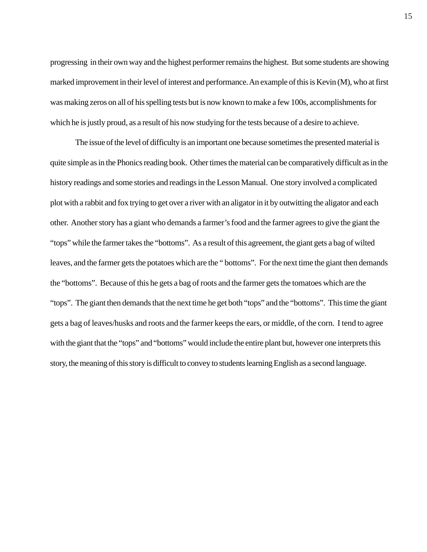progressing in their own way and the highest performer remains the highest. But some students are showing marked improvement in their level of interest and performance. An example of this is Kevin (M), who at first was making zeros on all of his spelling tests but is now known to make a few 100s, accomplishments for which he is justly proud, as a result of his now studying for the tests because of a desire to achieve.

The issue of the level of difficulty is an important one because sometimes the presented material is quite simple as in the Phonics reading book. Other times the material can be comparatively difficult as in the history readings and some stories and readings in the Lesson Manual. One story involved a complicated plot with a rabbit and fox trying to get over a river with an aligator in it by outwitting the aligator and each other. Another story has a giant who demands a farmer's food and the farmer agrees to give the giant the "tops" while the farmer takes the "bottoms". As a result of this agreement, the giant gets a bag of wilted leaves, and the farmer gets the potatoes which are the " bottoms". For the next time the giant then demands the "bottoms". Because of this he gets a bag of roots and the farmer gets the tomatoes which are the "tops". The giant then demands that the next time he get both "tops" and the "bottoms". This time the giant gets a bag of leaves/husks and roots and the farmer keeps the ears, or middle, of the corn. I tend to agree with the giant that the "tops" and "bottoms" would include the entire plant but, however one interprets this story, the meaning of this story is difficult to convey to students learning English as a second language.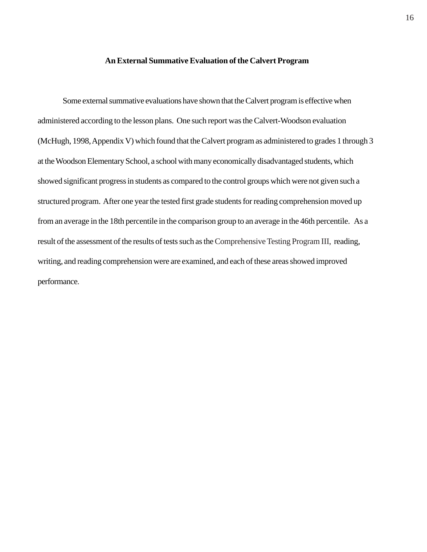#### **An External Summative Evaluation of the Calvert Program**

Some external summative evaluations have shown that the Calvert program is effective when administered according to the lesson plans. One such report was the Calvert-Woodson evaluation (McHugh, 1998, Appendix V) which found that the Calvert program as administered to grades 1 through 3 at the Woodson Elementary School, a school with many economically disadvantaged students, which showed significant progress in students as compared to the control groups which were not given such a structured program. After one year the tested first grade students for reading comprehension moved up from an average in the 18th percentile in the comparison group to an average in the 46th percentile. As a result of the assessment of the results of tests such as the Comprehensive Testing Program III, reading, writing, and reading comprehension were are examined, and each of these areas showed improved performance.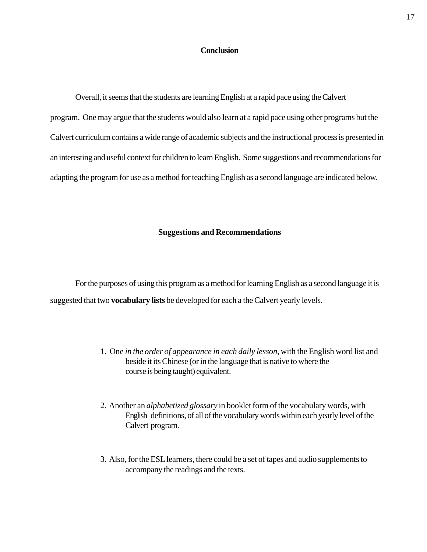# **Conclusion**

Overall, it seems that the students are learning English at a rapid pace using the Calvert program. One may argue that the students would also learn at a rapid pace using other programs but the Calvert curriculum contains a wide range of academic subjects and the instructional process is presented in an interesting and useful context for children to learn English. Some suggestions and recommendations for adapting the program for use as a method for teaching English as a second language are indicated below.

#### **Suggestions and Recommendations**

For the purposes of using this program as a method for learning English as a second language it is suggested that two **vocabulary lists** be developed for each a the Calvert yearly levels.

- 1. One *in the order of appearance in each daily lesson*, with the English word list and beside it its Chinese (or in the language that is native to where the course is being taught) equivalent.
- 2. Another an *alphabetized glossary* in booklet form of the vocabulary words, with English definitions, of all of the vocabulary words within each yearly level of the Calvert program.
- 3. Also, for the ESL learners, there could be a set of tapes and audio supplements to accompany the readings and the texts.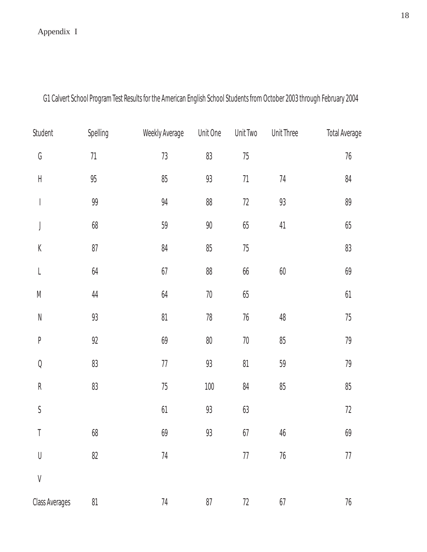# Appendix I

| Student                     | Spelling | Weekly Average | Unit One | Unit Two | <b>Unit Three</b> | <b>Total Average</b> |
|-----------------------------|----------|----------------|----------|----------|-------------------|----------------------|
| G                           | $71\,$   | $73\,$         | 83       | $75\,$   |                   | $76\,$               |
| $\mathsf H$                 | $95\,$   | $85\,$         | $93$     | $71\,$   | 74                | 84                   |
| $\bigg $                    | 99       | 94             | 88       | $72\,$   | 93                | 89                   |
| J                           | $68\,$   | 59             | $90\,$   | $65\,$   | $41$              | $65\,$               |
| $\mathsf K$                 | $87\,$   | 84             | $85\,$   | $75\,$   |                   | $83\,$               |
| $\mathsf L$                 | $64$     | $67\,$         | 88       | 66       | $60\,$            | 69                   |
| ${\sf M}$                   | $44\,$   | $64$           | $70\,$   | $65\,$   |                   | $61$                 |
| ${\sf N}$                   | 93       | $81\,$         | $78\,$   | $76\,$   | 48                | $75\,$               |
| $\, {\sf P}$                | 92       | 69             | $80\,$   | $70\,$   | 85                | $79$                 |
| $\mathsf{Q}$                | $83\,$   | $77\,$         | 93       | $81\,$   | 59                | $79$                 |
| ${\sf R}$                   | $83\,$   | $75\,$         | $100\,$  | 84       | $85\,$            | $85\,$               |
| $\boldsymbol{\mathsf{S}}$   |          | 61             | $93$     | $63$     |                   | $72\,$               |
| T                           | 68       | 69             | 93       | 67       | $46\,$            | 69                   |
| $\bigcup$                   | $82\,$   | $74\,$         |          | $77\,$   | $76\,$            | $77\,$               |
| $\operatorname{\mathsf{V}}$ |          |                |          |          |                   |                      |
| <b>Class Averages</b>       | $81$     | $74\,$         | $87\,$   | $72\,$   | 67                | $76\,$               |

G1 Calvert School Program Test Results for the American English School Students from October 2003 through February 2004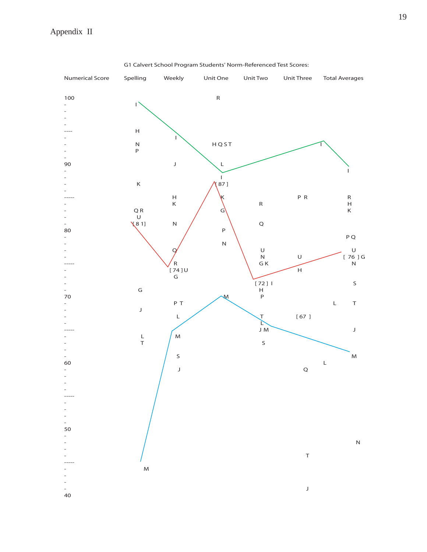

G1 Calvert School Program Students' Norm-Referenced Test Scores: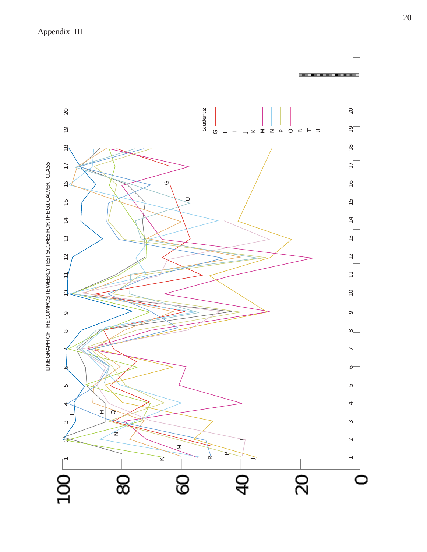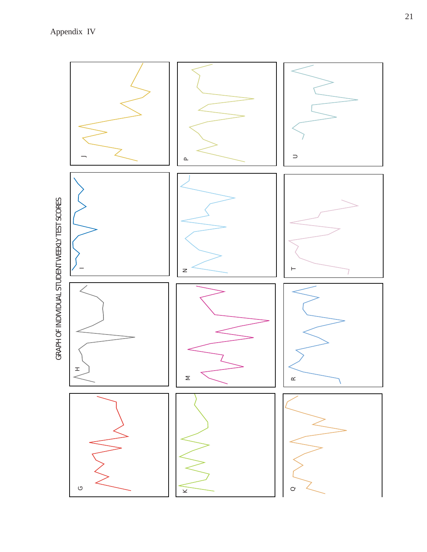Appendix IV

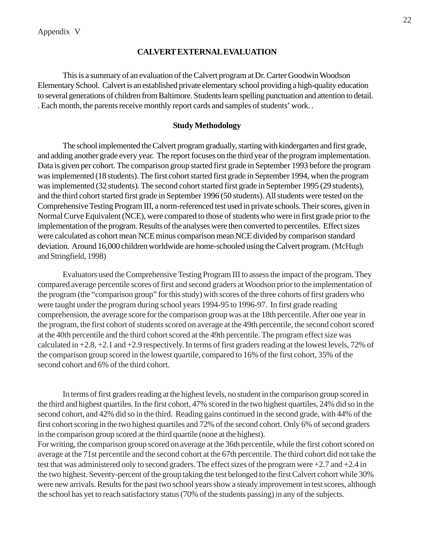# **CALVERT EXTERNAL EVALUATION**

This is a summary of an evaluation of the Calvert program at Dr. Carter Goodwin Woodson Elementary School. Calvert is an established private elementary school providing a high-quality education to several generations of children from Baltimore. Students learn spelling punctuation and attention to detail. . Each month, the parents receive monthly report cards and samples of students' work. .

### **Study Methodology**

The school implemented the Calvert program gradually, starting with kindergarten and first grade, and adding another grade every year. The report focuses on the third year of the program implementation. Data is given per cohort. The comparison group started first grade in September 1993 before the program was implemented (18 students). The first cohort started first grade in September 1994, when the program was implemented (32 students). The second cohort started first grade in September 1995 (29 students), and the third cohort started first grade in September 1996 (50 students). All students were tested on the Comprehensive Testing Program III, a norm-referenced test used in private schools. Their scores, given in Normal Curve Equivalent (NCE), were compared to those of students who were in first grade prior to the implementation of the program. Results of the analyses were then converted to percentiles. Effect sizes were calculated as cohort mean NCE minus comparison mean NCE divided by comparison standard deviation. Around 16,000 children worldwide are home-schooled using the Calvert program. (McHugh and Stringfield, 1998)

Evaluators used the Comprehensive Testing Program III to assess the impact of the program. They compared average percentile scores of first and second graders at Woodson prior to the implementation of the program (the "comparison group" for this study) with scores of the three cohorts of first graders who were taught under the program during school years 1994-95 to 1996-97. In first grade reading comprehension, the average score for the comparison group was at the 18th percentile. After one year in the program, the first cohort of students scored on average at the 49th percentile, the second cohort scored at the 40th percentile and the third cohort scored at the 49th percentile. The program effect size was calculated in +2.8, +2.1 and +2.9 respectively. In terms of first graders reading at the lowest levels, 72% of the comparison group scored in the lowest quartile, compared to 16% of the first cohort, 35% of the second cohort and 6% of the third cohort.

In terms of first graders reading at the highest levels, no student in the comparison group scored in the third and highest quartiles. In the first cohort, 47% scored in the two highest quartiles, 24% did so in the second cohort, and 42% did so in the third. Reading gains continued in the second grade, with 44% of the first cohort scoring in the two highest quartiles and 72% of the second cohort. Only 6% of second graders in the comparison group scored at the third quartile (none at the highest).

For writing, the comparison group scored on average at the 36th percentile, while the first cohort scored on average at the 71st percentile and the second cohort at the 67th percentile. The third cohort did not take the test that was administered only to second graders. The effect sizes of the program were +2.7 and +2.4 in the two highest. Seventy-percent of the group taking the test belonged to the first Calvert cohort while 30% were new arrivals. Results for the past two school years show a steady improvement in test scores, although the school has yet to reach satisfactory status (70% of the students passing) in any of the subjects.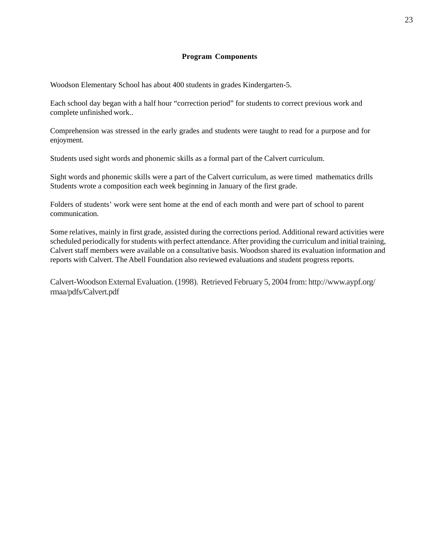### **Program Components**

Woodson Elementary School has about 400 students in grades Kindergarten-5.

Each school day began with a half hour "correction period" for students to correct previous work and complete unfinished work..

Comprehension was stressed in the early grades and students were taught to read for a purpose and for enjoyment.

Students used sight words and phonemic skills as a formal part of the Calvert curriculum.

Sight words and phonemic skills were a part of the Calvert curriculum, as were timed mathematics drills Students wrote a composition each week beginning in January of the first grade.

Folders of students' work were sent home at the end of each month and were part of school to parent communication.

Some relatives, mainly in first grade, assisted during the corrections period. Additional reward activities were scheduled periodically for students with perfect attendance. After providing the curriculum and initial training, Calvert staff members were available on a consultative basis. Woodson shared its evaluation information and reports with Calvert. The Abell Foundation also reviewed evaluations and student progress reports.

Calvert-Woodson External Evaluation. (1998). Retrieved February 5, 2004 from: http://www.aypf.org/ rmaa/pdfs/Calvert.pdf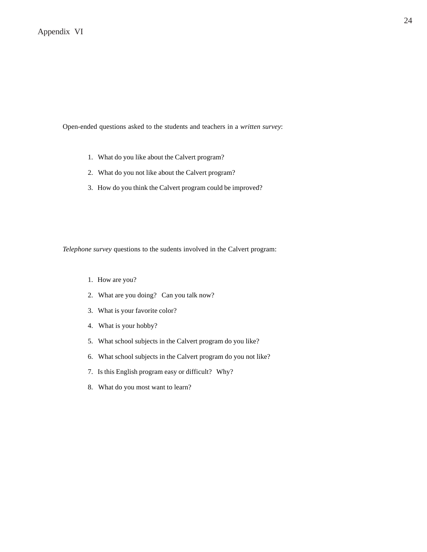Open-ended questions asked to the students and teachers in a *written survey*:

- 1. What do you like about the Calvert program?
- 2. What do you not like about the Calvert program?
- 3. How do you think the Calvert program could be improved?

*Telephone survey* questions to the sudents involved in the Calvert program:

- 1. How are you?
- 2. What are you doing? Can you talk now?
- 3. What is your favorite color?
- 4. What is your hobby?
- 5. What school subjects in the Calvert program do you like?
- 6. What school subjects in the Calvert program do you not like?
- 7. Is this English program easy or difficult? Why?
- 8. What do you most want to learn?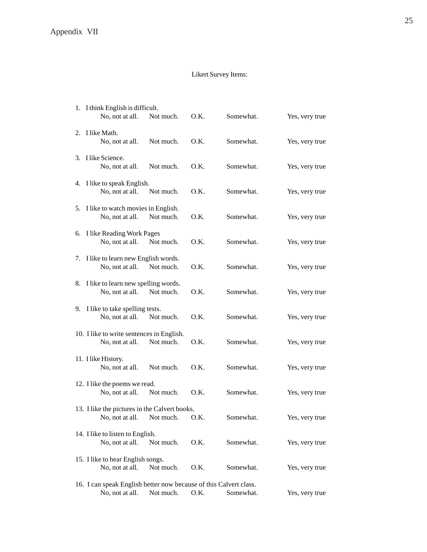# Likert Survey Items:

|                                       | 1. I think English is difficult.                                  |           |      |           |                |  |  |  |  |
|---------------------------------------|-------------------------------------------------------------------|-----------|------|-----------|----------------|--|--|--|--|
|                                       | No, not at all.                                                   | Not much. | O.K. | Somewhat. | Yes, very true |  |  |  |  |
|                                       | 2. I like Math.                                                   |           |      |           |                |  |  |  |  |
|                                       | No, not at all.                                                   | Not much. | O.K. | Somewhat. | Yes, very true |  |  |  |  |
|                                       | 3. I like Science.                                                |           |      |           |                |  |  |  |  |
|                                       | No, not at all.                                                   | Not much. | O.K. | Somewhat. | Yes, very true |  |  |  |  |
|                                       | 4. I like to speak English.                                       |           |      |           |                |  |  |  |  |
|                                       | No, not at all.                                                   | Not much. | O.K. | Somewhat. | Yes, very true |  |  |  |  |
| 5. I like to watch movies in English. |                                                                   |           |      |           |                |  |  |  |  |
|                                       | No, not at all.                                                   | Not much. | O.K. | Somewhat. | Yes, very true |  |  |  |  |
|                                       | 6. I like Reading Work Pages                                      |           |      |           |                |  |  |  |  |
|                                       | No, not at all.                                                   | Not much. | O.K. | Somewhat. | Yes, very true |  |  |  |  |
|                                       | 7. I like to learn new English words.                             |           |      |           |                |  |  |  |  |
|                                       | No, not at all.                                                   | Not much. | O.K. | Somewhat. | Yes, very true |  |  |  |  |
|                                       | 8. I like to learn new spelling words.                            |           |      |           |                |  |  |  |  |
|                                       | No, not at all.                                                   | Not much. | O.K. | Somewhat. | Yes, very true |  |  |  |  |
|                                       | 9. I like to take spelling tests.                                 |           |      |           |                |  |  |  |  |
|                                       | No, not at all.                                                   | Not much. | O.K. | Somewhat. | Yes, very true |  |  |  |  |
|                                       | 10. I like to write sentences in English.                         |           |      |           |                |  |  |  |  |
|                                       | No, not at all.                                                   | Not much. | O.K. | Somewhat. | Yes, very true |  |  |  |  |
|                                       | 11. I like History.                                               |           |      |           |                |  |  |  |  |
|                                       | No, not at all.                                                   | Not much. | O.K. | Somewhat. | Yes, very true |  |  |  |  |
|                                       | 12. I like the poems we read.                                     |           |      |           |                |  |  |  |  |
|                                       | No, not at all.                                                   | Not much. | O.K. | Somewhat. | Yes, very true |  |  |  |  |
|                                       | 13. I like the pictures in the Calvert books.                     |           |      |           |                |  |  |  |  |
|                                       | No, not at all. Not much.                                         |           | O.K. | Somewhat. | Yes, very true |  |  |  |  |
| 14. I like to listen to English.      |                                                                   |           |      |           |                |  |  |  |  |
|                                       | No, not at all.                                                   | Not much. | O.K. | Somewhat. | Yes, very true |  |  |  |  |
|                                       | 15. I like to hear English songs.                                 |           |      |           |                |  |  |  |  |
|                                       | No, not at all.                                                   | Not much. | O.K. | Somewhat. | Yes, very true |  |  |  |  |
|                                       | 16. I can speak English better now because of this Calvert class. |           |      |           |                |  |  |  |  |
|                                       | No, not at all.                                                   | Not much. | O.K. | Somewhat. | Yes, very true |  |  |  |  |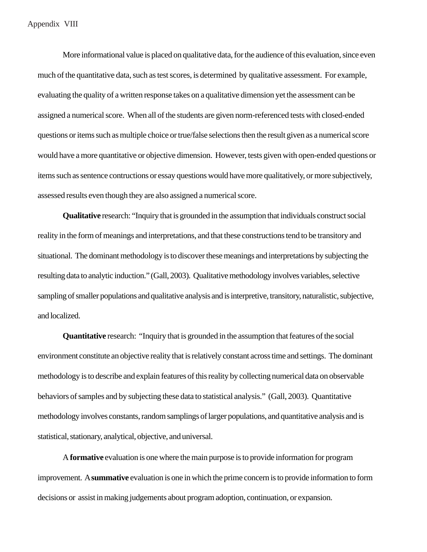More informational value is placed on qualitative data, for the audience of this evaluation, since even much of the quantitative data, such as test scores, is determined by qualitative assessment. For example, evaluating the quality of a written response takes on a qualitative dimension yet the assessment can be assigned a numerical score. When all of the students are given norm-referenced tests with closed-ended questions or items such as multiple choice or true/false selections then the result given as a numerical score would have a more quantitative or objective dimension. However, tests given with open-ended questions or items such as sentence contructions or essay questions would have more qualitatively, or more subjectively, assessed results even though they are also assigned a numerical score.

**Qualitative** research: "Inquiry that is grounded in the assumption that individuals construct social reality in the form of meanings and interpretations, and that these constructions tend to be transitory and situational. The dominant methodology is to discover these meanings and interpretations by subjecting the resulting data to analytic induction." (Gall, 2003). Qualitative methodology involves variables, selective sampling of smaller populations and qualitative analysis and is interpretive, transitory, naturalistic, subjective, and localized.

**Quantitative** research: "Inquiry that is grounded in the assumption that features of the social environment constitute an objective reality that is relatively constant across time and settings. The dominant methodology is to describe and explain features of this reality by collecting numerical data on observable behaviors of samples and by subjecting these data to statistical analysis." (Gall, 2003). Quantitative methodology involves constants, random samplings of larger populations, and quantitative analysis and is statistical, stationary, analytical, objective, and universal.

A **formative** evaluation is one where the main purpose is to provide information for program improvement. A **summative** evaluation is one in which the prime concern is to provide information to form decisions or assist in making judgements about program adoption, continuation, or expansion.